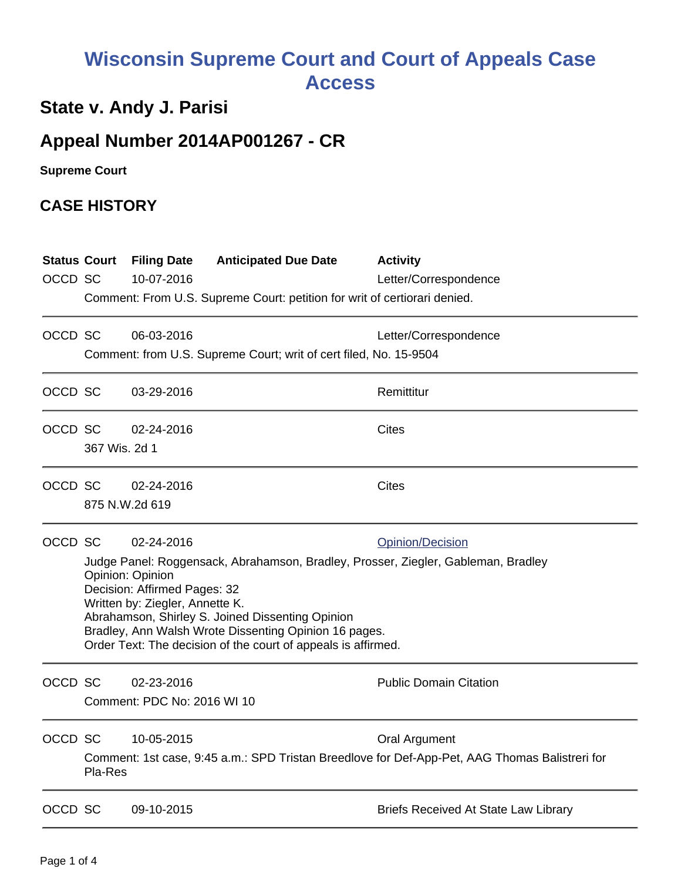# **Wisconsin Supreme Court and Court of Appeals Case Access**

### **State v. Andy J. Parisi**

## **Appeal Number 2014AP001267 - CR**

**Supreme Court** 

#### **CASE HISTORY**

| OCCD SC | <b>Status Court</b>                                                                                                                                                                                                                                                                                                                                                                      | <b>Filing Date</b><br>10-07-2016          | <b>Anticipated Due Date</b><br>Comment: From U.S. Supreme Court: petition for writ of certiorari denied. | <b>Activity</b><br>Letter/Correspondence                                                                               |  |
|---------|------------------------------------------------------------------------------------------------------------------------------------------------------------------------------------------------------------------------------------------------------------------------------------------------------------------------------------------------------------------------------------------|-------------------------------------------|----------------------------------------------------------------------------------------------------------|------------------------------------------------------------------------------------------------------------------------|--|
| OCCD SC |                                                                                                                                                                                                                                                                                                                                                                                          | 06-03-2016                                | Comment: from U.S. Supreme Court; writ of cert filed, No. 15-9504                                        | Letter/Correspondence                                                                                                  |  |
| OCCD SC |                                                                                                                                                                                                                                                                                                                                                                                          | 03-29-2016                                |                                                                                                          | Remittitur                                                                                                             |  |
| OCCD SC | 367 Wis. 2d 1                                                                                                                                                                                                                                                                                                                                                                            | 02-24-2016                                |                                                                                                          | <b>Cites</b>                                                                                                           |  |
| OCCD SC | 875 N.W.2d 619                                                                                                                                                                                                                                                                                                                                                                           | 02-24-2016                                |                                                                                                          | <b>Cites</b>                                                                                                           |  |
| OCCD SC | 02-24-2016<br>Opinion/Decision<br>Judge Panel: Roggensack, Abrahamson, Bradley, Prosser, Ziegler, Gableman, Bradley<br>Opinion: Opinion<br>Decision: Affirmed Pages: 32<br>Written by: Ziegler, Annette K.<br>Abrahamson, Shirley S. Joined Dissenting Opinion<br>Bradley, Ann Walsh Wrote Dissenting Opinion 16 pages.<br>Order Text: The decision of the court of appeals is affirmed. |                                           |                                                                                                          |                                                                                                                        |  |
| OCCD SC |                                                                                                                                                                                                                                                                                                                                                                                          | 02-23-2016<br>Comment: PDC No: 2016 WI 10 |                                                                                                          | <b>Public Domain Citation</b>                                                                                          |  |
| OCCD SC | Pla-Res                                                                                                                                                                                                                                                                                                                                                                                  | 10-05-2015                                |                                                                                                          | <b>Oral Argument</b><br>Comment: 1st case, 9:45 a.m.: SPD Tristan Breedlove for Def-App-Pet, AAG Thomas Balistreri for |  |
| OCCD SC |                                                                                                                                                                                                                                                                                                                                                                                          | 09-10-2015                                |                                                                                                          | <b>Briefs Received At State Law Library</b>                                                                            |  |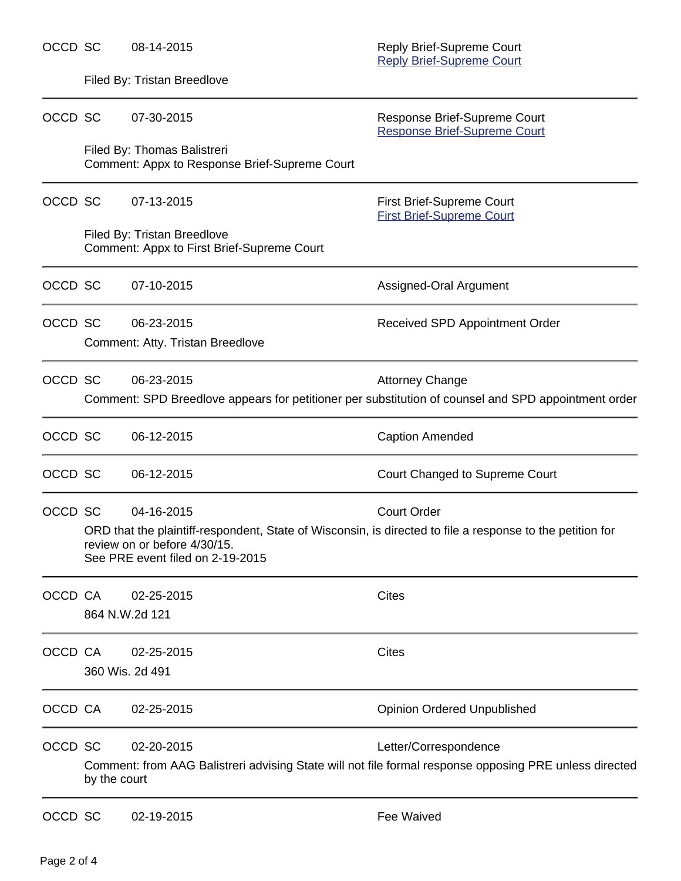| OCCD SC |                                                                                                                                                                               | 08-14-2015                                                                   | Reply Brief-Supreme Court<br><b>Reply Brief-Supreme Court</b>                                                                 |  |  |  |
|---------|-------------------------------------------------------------------------------------------------------------------------------------------------------------------------------|------------------------------------------------------------------------------|-------------------------------------------------------------------------------------------------------------------------------|--|--|--|
|         | Filed By: Tristan Breedlove                                                                                                                                                   |                                                                              |                                                                                                                               |  |  |  |
| OCCD SC |                                                                                                                                                                               | 07-30-2015                                                                   | Response Brief-Supreme Court<br><b>Response Brief-Supreme Court</b>                                                           |  |  |  |
|         |                                                                                                                                                                               | Filed By: Thomas Balistreri<br>Comment: Appx to Response Brief-Supreme Court |                                                                                                                               |  |  |  |
| OCCD SC |                                                                                                                                                                               | 07-13-2015                                                                   | First Brief-Supreme Court<br><b>First Brief-Supreme Court</b>                                                                 |  |  |  |
|         | Filed By: Tristan Breedlove<br>Comment: Appx to First Brief-Supreme Court                                                                                                     |                                                                              |                                                                                                                               |  |  |  |
| OCCD SC |                                                                                                                                                                               | 07-10-2015                                                                   | Assigned-Oral Argument                                                                                                        |  |  |  |
| OCCD SC |                                                                                                                                                                               | 06-23-2015                                                                   | Received SPD Appointment Order                                                                                                |  |  |  |
|         |                                                                                                                                                                               | Comment: Atty. Tristan Breedlove                                             |                                                                                                                               |  |  |  |
| OCCD SC |                                                                                                                                                                               | 06-23-2015                                                                   | <b>Attorney Change</b><br>Comment: SPD Breedlove appears for petitioner per substitution of counsel and SPD appointment order |  |  |  |
| OCCD SC |                                                                                                                                                                               | 06-12-2015                                                                   | <b>Caption Amended</b>                                                                                                        |  |  |  |
| OCCD SC |                                                                                                                                                                               | 06-12-2015                                                                   | Court Changed to Supreme Court                                                                                                |  |  |  |
| OCCD SC |                                                                                                                                                                               | 04-16-2015                                                                   | <b>Court Order</b>                                                                                                            |  |  |  |
|         | ORD that the plaintiff-respondent, State of Wisconsin, is directed to file a response to the petition for<br>review on or before 4/30/15.<br>See PRE event filed on 2-19-2015 |                                                                              |                                                                                                                               |  |  |  |
| OCCD CA |                                                                                                                                                                               | 02-25-2015                                                                   | <b>Cites</b>                                                                                                                  |  |  |  |
|         | 864 N.W.2d 121                                                                                                                                                                |                                                                              |                                                                                                                               |  |  |  |
| OCCD CA |                                                                                                                                                                               | 02-25-2015                                                                   | <b>Cites</b>                                                                                                                  |  |  |  |
|         | 360 Wis. 2d 491                                                                                                                                                               |                                                                              |                                                                                                                               |  |  |  |
| OCCD CA |                                                                                                                                                                               | 02-25-2015                                                                   | <b>Opinion Ordered Unpublished</b>                                                                                            |  |  |  |
| OCCD SC |                                                                                                                                                                               | 02-20-2015                                                                   | Letter/Correspondence                                                                                                         |  |  |  |
|         | Comment: from AAG Balistreri advising State will not file formal response opposing PRE unless directed<br>by the court                                                        |                                                                              |                                                                                                                               |  |  |  |
| OCCD SC |                                                                                                                                                                               | 02-19-2015                                                                   | <b>Fee Waived</b>                                                                                                             |  |  |  |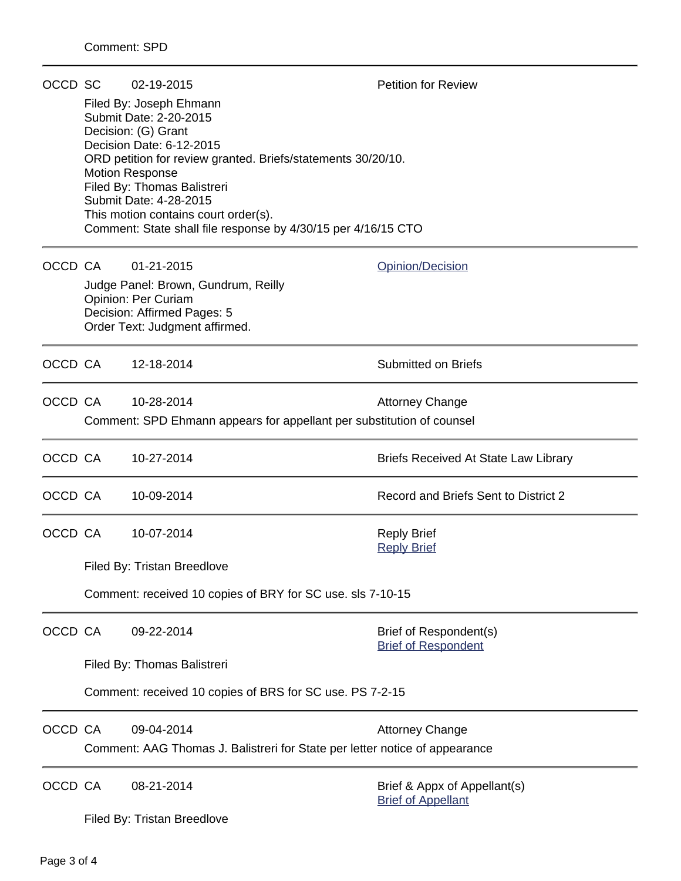| OCCD SC |                                                                             | 02-19-2015                                                                                            | <b>Petition for Review</b>                                |  |  |  |  |  |
|---------|-----------------------------------------------------------------------------|-------------------------------------------------------------------------------------------------------|-----------------------------------------------------------|--|--|--|--|--|
|         |                                                                             | Filed By: Joseph Ehmann<br>Submit Date: 2-20-2015                                                     |                                                           |  |  |  |  |  |
|         | Decision: (G) Grant<br>Decision Date: 6-12-2015                             |                                                                                                       |                                                           |  |  |  |  |  |
|         | ORD petition for review granted. Briefs/statements 30/20/10.                |                                                                                                       |                                                           |  |  |  |  |  |
|         |                                                                             | <b>Motion Response</b><br>Filed By: Thomas Balistreri                                                 |                                                           |  |  |  |  |  |
|         |                                                                             | Submit Date: 4-28-2015                                                                                |                                                           |  |  |  |  |  |
|         |                                                                             | This motion contains court order(s).<br>Comment: State shall file response by 4/30/15 per 4/16/15 CTO |                                                           |  |  |  |  |  |
| OCCD CA |                                                                             | 01-21-2015                                                                                            | Opinion/Decision                                          |  |  |  |  |  |
|         |                                                                             | Judge Panel: Brown, Gundrum, Reilly                                                                   |                                                           |  |  |  |  |  |
|         |                                                                             | <b>Opinion: Per Curiam</b><br>Decision: Affirmed Pages: 5                                             |                                                           |  |  |  |  |  |
|         |                                                                             | Order Text: Judgment affirmed.                                                                        |                                                           |  |  |  |  |  |
|         | OCCD CA                                                                     | 12-18-2014                                                                                            | <b>Submitted on Briefs</b>                                |  |  |  |  |  |
| OCCD CA |                                                                             | 10-28-2014                                                                                            | <b>Attorney Change</b>                                    |  |  |  |  |  |
|         |                                                                             | Comment: SPD Ehmann appears for appellant per substitution of counsel                                 |                                                           |  |  |  |  |  |
| OCCD CA |                                                                             | 10-27-2014                                                                                            | <b>Briefs Received At State Law Library</b>               |  |  |  |  |  |
| OCCD CA |                                                                             | 10-09-2014                                                                                            | Record and Briefs Sent to District 2                      |  |  |  |  |  |
| OCCD CA |                                                                             | 10-07-2014                                                                                            | <b>Reply Brief</b>                                        |  |  |  |  |  |
|         |                                                                             |                                                                                                       | <b>Reply Brief</b>                                        |  |  |  |  |  |
|         | Filed By: Tristan Breedlove                                                 |                                                                                                       |                                                           |  |  |  |  |  |
|         | Comment: received 10 copies of BRY for SC use. sls 7-10-15                  |                                                                                                       |                                                           |  |  |  |  |  |
| OCCD CA |                                                                             | 09-22-2014                                                                                            | Brief of Respondent(s)<br><b>Brief of Respondent</b>      |  |  |  |  |  |
|         | Filed By: Thomas Balistreri                                                 |                                                                                                       |                                                           |  |  |  |  |  |
|         | Comment: received 10 copies of BRS for SC use. PS 7-2-15                    |                                                                                                       |                                                           |  |  |  |  |  |
| OCCD CA |                                                                             | 09-04-2014                                                                                            | <b>Attorney Change</b>                                    |  |  |  |  |  |
|         | Comment: AAG Thomas J. Balistreri for State per letter notice of appearance |                                                                                                       |                                                           |  |  |  |  |  |
| OCCD CA |                                                                             | 08-21-2014                                                                                            | Brief & Appx of Appellant(s)<br><b>Brief of Appellant</b> |  |  |  |  |  |
|         | Filed By: Tristan Breedlove                                                 |                                                                                                       |                                                           |  |  |  |  |  |